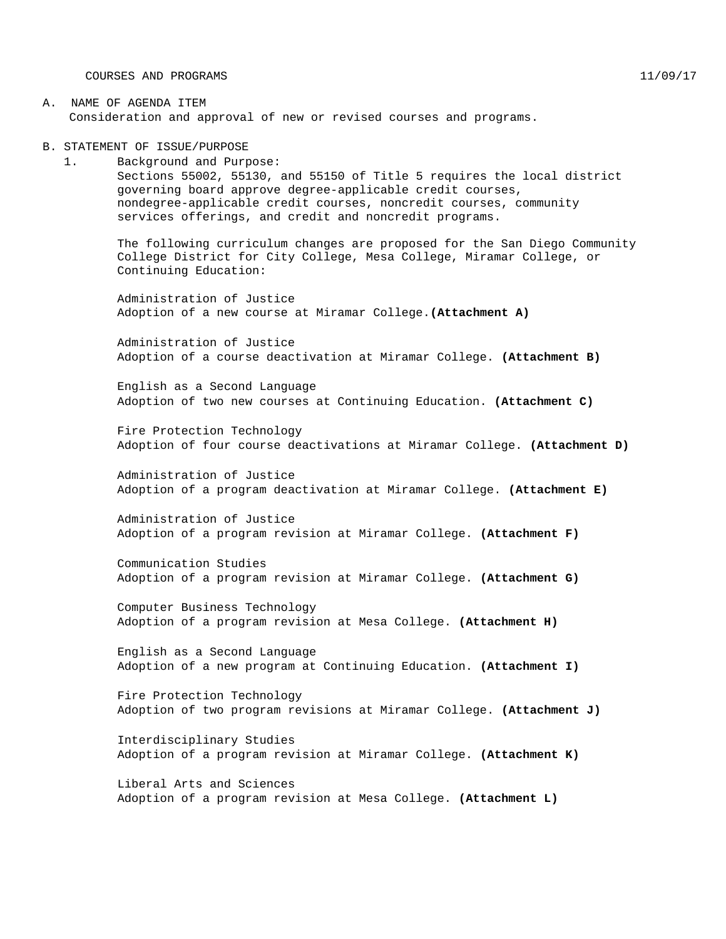COURSES AND PROGRAMS 11/09/17

#### A. NAME OF AGENDA ITEM Consideration and approval of new or revised courses and programs.

B. STATEMENT OF ISSUE/PURPOSE

1. Background and Purpose: Sections 55002, 55130, and 55150 of Title 5 requires the local district governing board approve degree-applicable credit courses, nondegree-applicable credit courses, noncredit courses, community services offerings, and credit and noncredit programs.

The following curriculum changes are proposed for the San Diego Community College District for City College, Mesa College, Miramar College, or Continuing Education:

Administration of Justice Adoption of a new course at Miramar College.**(Attachment A)**

Administration of Justice Adoption of a course deactivation at Miramar College. **(Attachment B)**

English as a Second Language Adoption of two new courses at Continuing Education. **(Attachment C)**

Fire Protection Technology Adoption of four course deactivations at Miramar College. **(Attachment D)**

Administration of Justice Adoption of a program deactivation at Miramar College. **(Attachment E)**

Administration of Justice Adoption of a program revision at Miramar College. **(Attachment F)**

Communication Studies Adoption of a program revision at Miramar College. **(Attachment G)**

Computer Business Technology Adoption of a program revision at Mesa College. **(Attachment H)**

English as a Second Language Adoption of a new program at Continuing Education. **(Attachment I)**

Fire Protection Technology Adoption of two program revisions at Miramar College. **(Attachment J)**

Interdisciplinary Studies Adoption of a program revision at Miramar College. **(Attachment K)**

Liberal Arts and Sciences Adoption of a program revision at Mesa College. **(Attachment L)**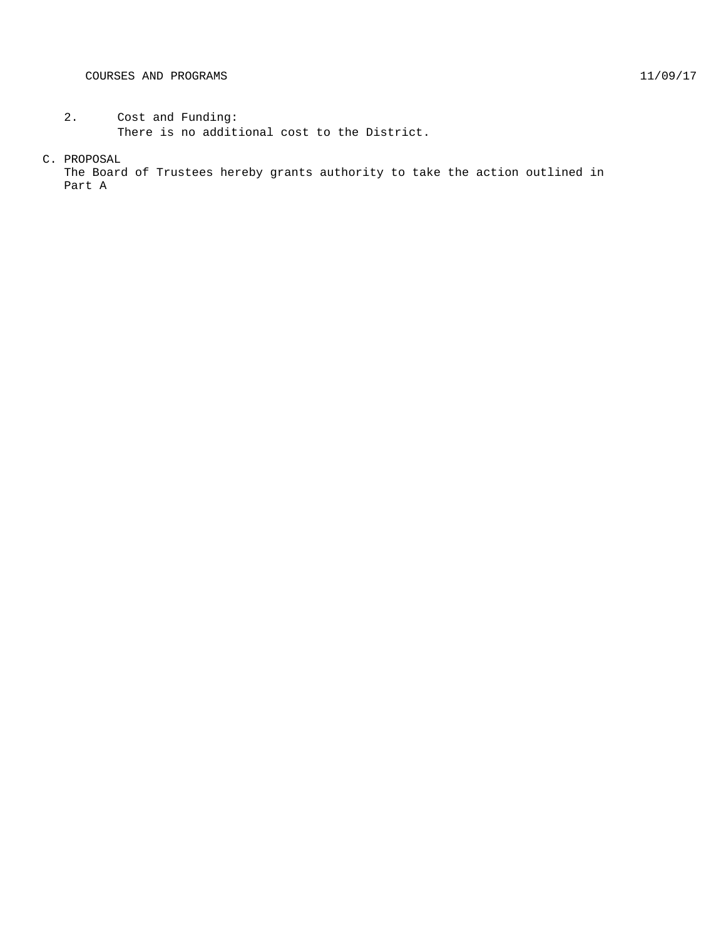- 2. Cost and Funding: There is no additional cost to the District.
- C. PROPOSAL

The Board of Trustees hereby grants authority to take the action outlined in Part A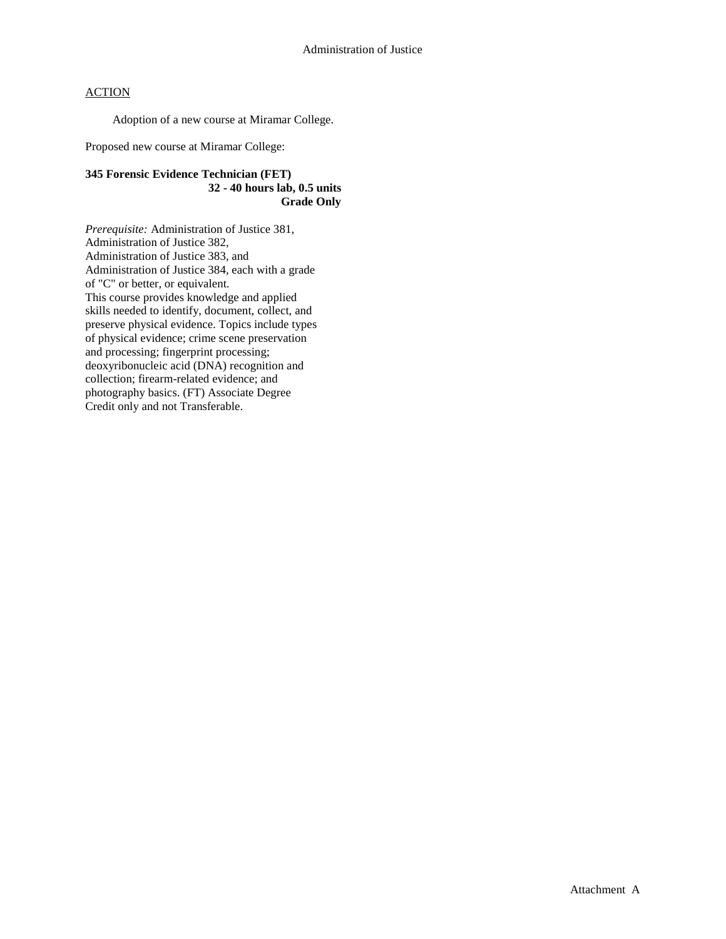Adoption of a new course at Miramar College.

Proposed new course at Miramar College:

### **345 Forensic Evidence Technician (FET) 32 - 40 hours lab, 0.5 units Grade Only**

*Prerequisite:* Administration of Justice 381, Administration of Justice 382, Administration of Justice 383, and Administration of Justice 384, each with a grade of "C" or better, or equivalent. This course provides knowledge and applied skills needed to identify, document, collect, and preserve physical evidence. Topics include types of physical evidence; crime scene preservation and processing; fingerprint processing; deoxyribonucleic acid (DNA) recognition and collection; firearm-related evidence; and photography basics. (FT) Associate Degree Credit only and not Transferable.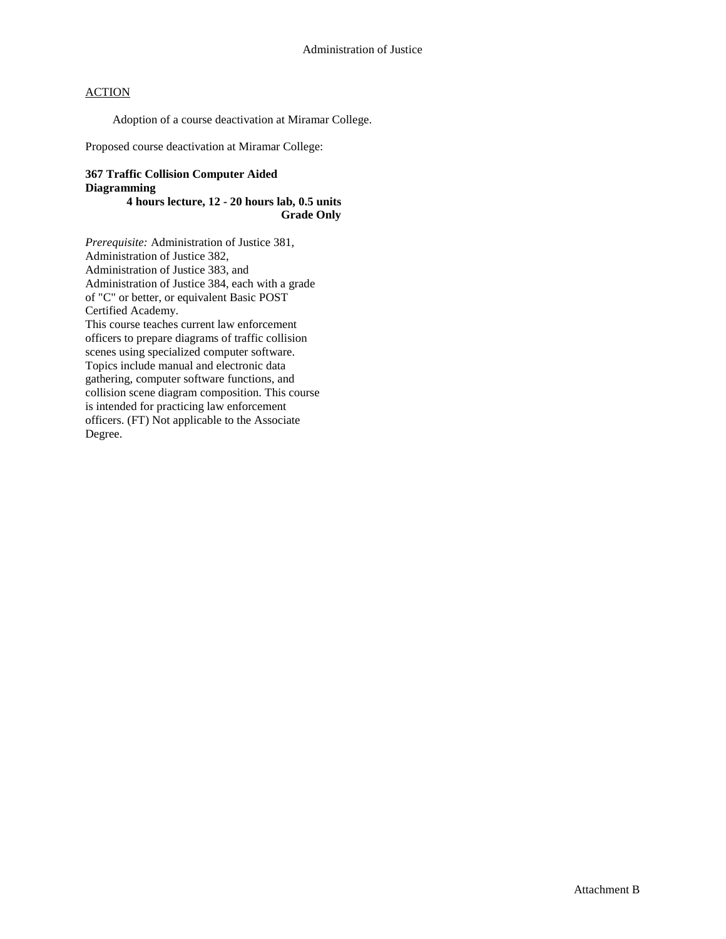Adoption of a course deactivation at Miramar College.

Proposed course deactivation at Miramar College:

## **367 Traffic Collision Computer Aided Diagramming**

### **4 hours lecture, 12 - 20 hours lab, 0.5 units Grade Only**

*Prerequisite:* Administration of Justice 381, Administration of Justice 382, Administration of Justice 383, and Administration of Justice 384, each with a grade of "C" or better, or equivalent Basic POST Certified Academy. This course teaches current law enforcement officers to prepare diagrams of traffic collision scenes using specialized computer software. Topics include manual and electronic data gathering, computer software functions, and collision scene diagram composition. This course is intended for practicing law enforcement officers. (FT) Not applicable to the Associate Degree.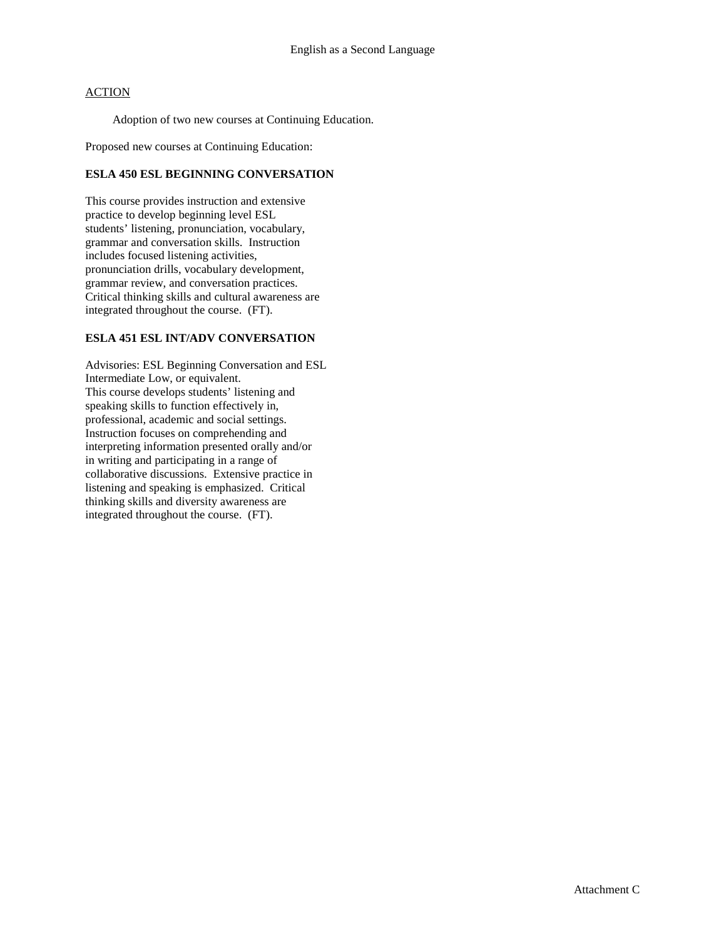Adoption of two new courses at Continuing Education.

Proposed new courses at Continuing Education:

### **ESLA 450 ESL BEGINNING CONVERSATION**

This course provides instruction and extensive practice to develop beginning level ESL students' listening, pronunciation, vocabulary, grammar and conversation skills. Instruction includes focused listening activities, pronunciation drills, vocabulary development, grammar review, and conversation practices. Critical thinking skills and cultural awareness are integrated throughout the course. (FT).

#### **ESLA 451 ESL INT/ADV CONVERSATION**

Advisories: ESL Beginning Conversation and ESL Intermediate Low, or equivalent. This course develops students' listening and speaking skills to function effectively in, professional, academic and social settings. Instruction focuses on comprehending and interpreting information presented orally and/or in writing and participating in a range of collaborative discussions. Extensive practice in listening and speaking is emphasized. Critical thinking skills and diversity awareness are integrated throughout the course. (FT).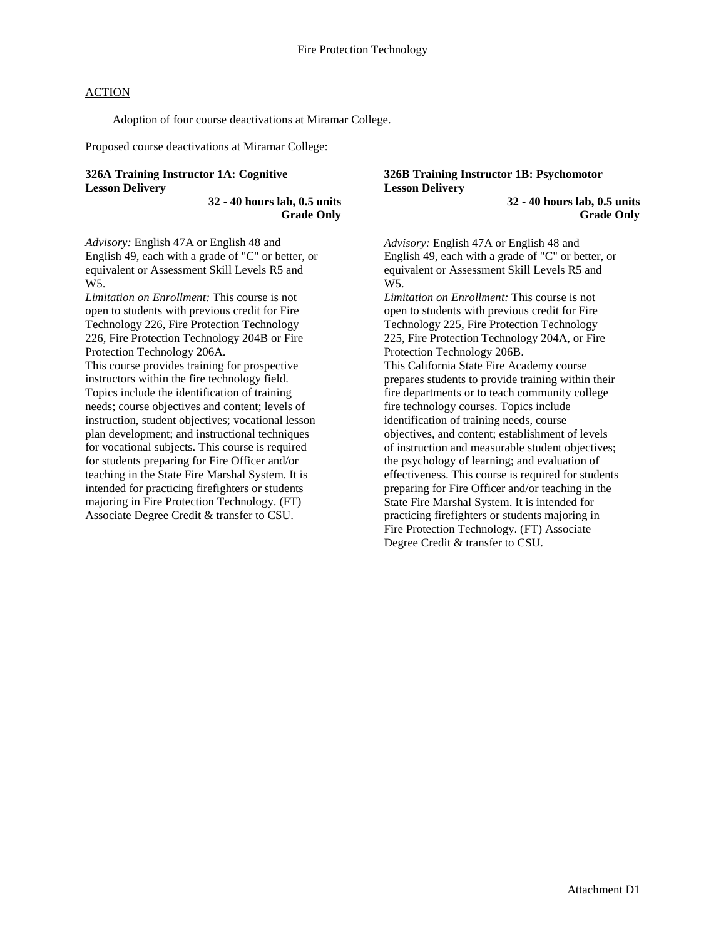Adoption of four course deactivations at Miramar College.

Proposed course deactivations at Miramar College:

### **326A Training Instructor 1A: Cognitive Lesson Delivery**

**32 - 40 hours lab, 0.5 units Grade Only**

*Advisory:* English 47A or English 48 and English 49, each with a grade of "C" or better, or equivalent or Assessment Skill Levels R5 and W5.

*Limitation on Enrollment:* This course is not open to students with previous credit for Fire Technology 226, Fire Protection Technology 226, Fire Protection Technology 204B or Fire Protection Technology 206A.

This course provides training for prospective instructors within the fire technology field. Topics include the identification of training needs; course objectives and content; levels of instruction, student objectives; vocational lesson plan development; and instructional techniques for vocational subjects. This course is required for students preparing for Fire Officer and/or teaching in the State Fire Marshal System. It is intended for practicing firefighters or students majoring in Fire Protection Technology. (FT) Associate Degree Credit & transfer to CSU.

#### **326B Training Instructor 1B: Psychomotor Lesson Delivery**

**32 - 40 hours lab, 0.5 units Grade Only**

*Advisory:* English 47A or English 48 and English 49, each with a grade of "C" or better, or equivalent or Assessment Skill Levels R5 and W5.

*Limitation on Enrollment:* This course is not open to students with previous credit for Fire Technology 225, Fire Protection Technology 225, Fire Protection Technology 204A, or Fire Protection Technology 206B.

This California State Fire Academy course prepares students to provide training within their fire departments or to teach community college fire technology courses. Topics include identification of training needs, course objectives, and content; establishment of levels of instruction and measurable student objectives; the psychology of learning; and evaluation of effectiveness. This course is required for students preparing for Fire Officer and/or teaching in the State Fire Marshal System. It is intended for practicing firefighters or students majoring in Fire Protection Technology. (FT) Associate Degree Credit & transfer to CSU.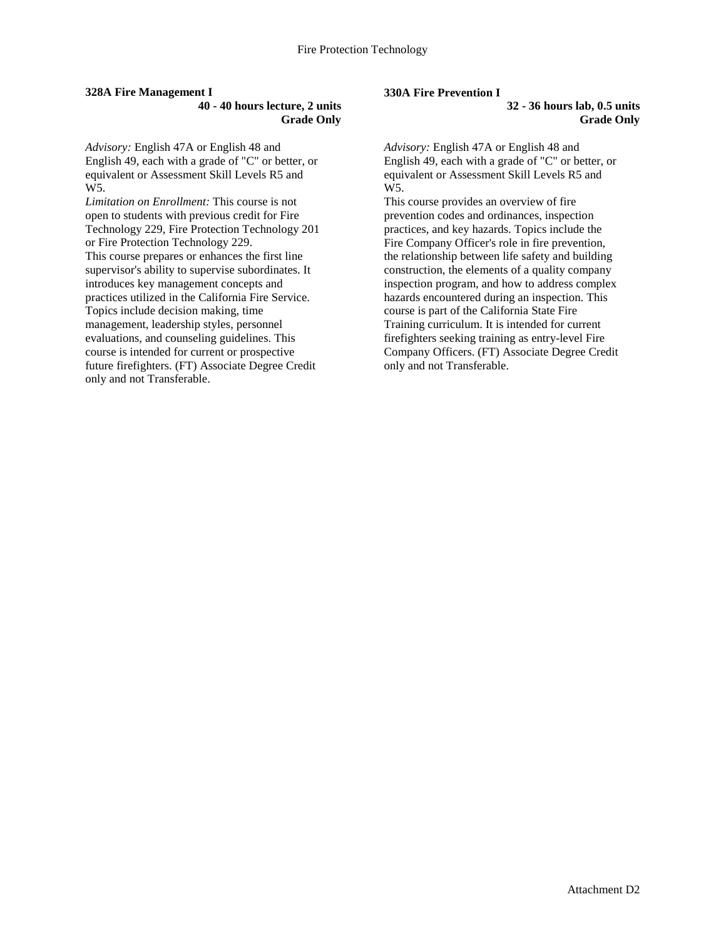#### **328A Fire Management I**

**40 - 40 hours lecture, 2 units Grade Only**

*Advisory:* English 47A or English 48 and English 49, each with a grade of "C" or better, or equivalent or Assessment Skill Levels R5 and W5.

*Limitation on Enrollment:* This course is not open to students with previous credit for Fire Technology 229, Fire Protection Technology 201 or Fire Protection Technology 229. This course prepares or enhances the first line supervisor's ability to supervise subordinates. It introduces key management concepts and practices utilized in the California Fire Service. Topics include decision making, time management, leadership styles, personnel evaluations, and counseling guidelines. This course is intended for current or prospective future firefighters. (FT) Associate Degree Credit only and not Transferable.

#### **330A Fire Prevention I**

**32 - 36 hours lab, 0.5 units Grade Only**

*Advisory:* English 47A or English 48 and English 49, each with a grade of "C" or better, or equivalent or Assessment Skill Levels R5 and W5.

This course provides an overview of fire prevention codes and ordinances, inspection practices, and key hazards. Topics include the Fire Company Officer's role in fire prevention, the relationship between life safety and building construction, the elements of a quality company inspection program, and how to address complex hazards encountered during an inspection. This course is part of the California State Fire Training curriculum. It is intended for current firefighters seeking training as entry-level Fire Company Officers. (FT) Associate Degree Credit only and not Transferable.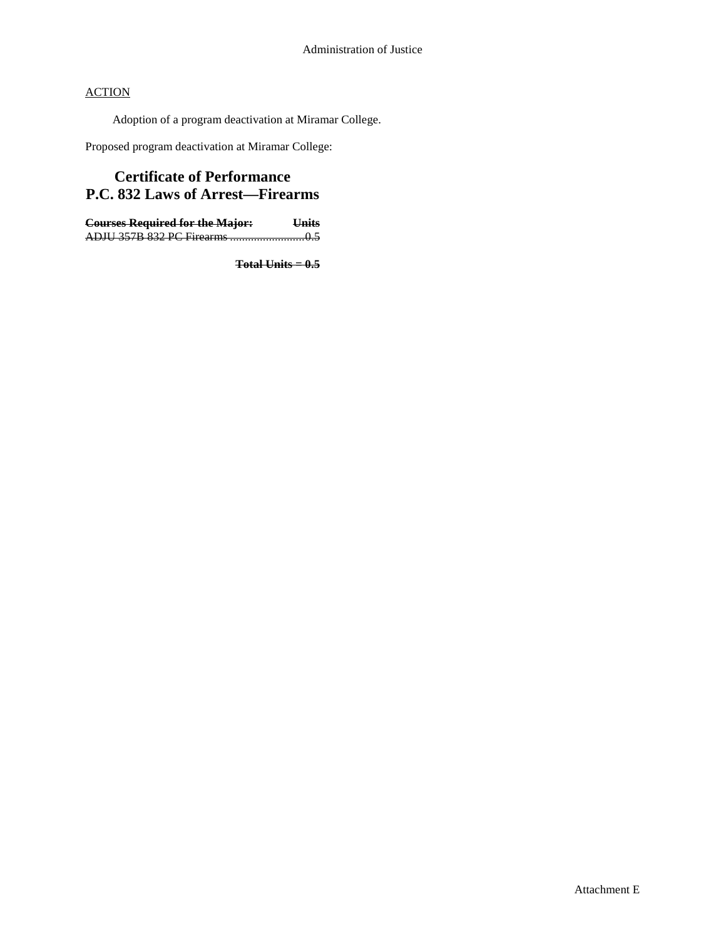Adoption of a program deactivation at Miramar College.

Proposed program deactivation at Miramar College:

# **Certificate of Performance P.C. 832 Laws of Arrest—Firearms**

**Courses Required for the Major: Units** ADJU 357B 832 PC Firearms .........................0.5

**Total Units = 0.5**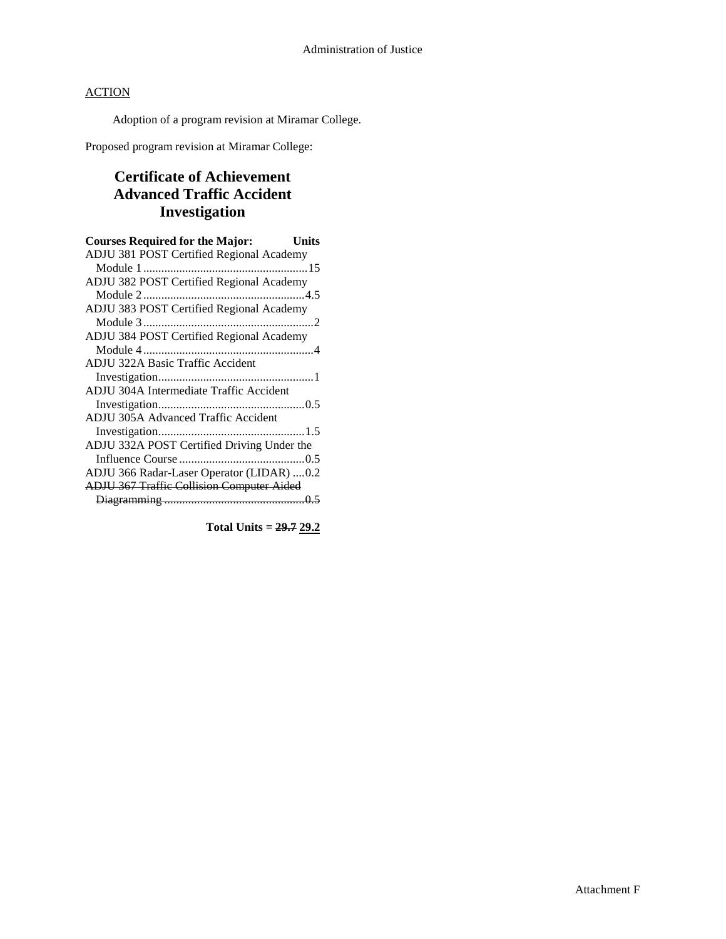Adoption of a program revision at Miramar College.

Proposed program revision at Miramar College:

# **Certificate of Achievement Advanced Traffic Accident Investigation**

| <b>Courses Required for the Major:</b><br>Units  |
|--------------------------------------------------|
| ADJU 381 POST Certified Regional Academy         |
|                                                  |
| ADJU 382 POST Certified Regional Academy         |
|                                                  |
| ADJU 383 POST Certified Regional Academy         |
|                                                  |
| ADJU 384 POST Certified Regional Academy         |
|                                                  |
| <b>ADJU 322A Basic Traffic Accident</b>          |
|                                                  |
| ADJU 304A Intermediate Traffic Accident          |
|                                                  |
| ADJU 305A Advanced Traffic Accident              |
|                                                  |
| ADJU 332A POST Certified Driving Under the       |
|                                                  |
| ADJU 366 Radar-Laser Operator (LIDAR)  0.2       |
| <b>ADJU 367 Traffic Collision Computer Aided</b> |
|                                                  |
|                                                  |

**Total Units = 29.7 29.2**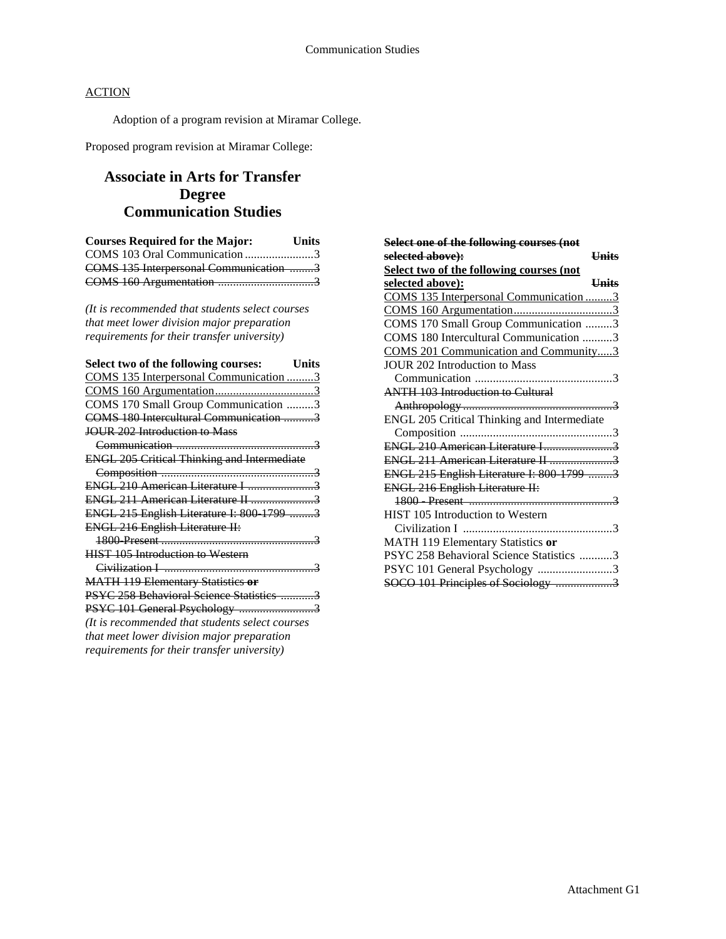Adoption of a program revision at Miramar College.

Proposed program revision at Miramar College:

## **Associate in Arts for Transfer Degree Communication Studies**

| <b>Courses Required for the Major:</b> | <b>Units</b> |
|----------------------------------------|--------------|
| COMS 103 Oral Communication 3          |              |
| COMS 135 Interpersonal Communication 3 |              |
|                                        |              |

*(It is recommended that students select courses that meet lower division major preparation requirements for their transfer university)*

| Select two of the following courses:<br><b>Units</b> |  |
|------------------------------------------------------|--|
| COMS 135 Interpersonal Communication 3               |  |
|                                                      |  |
| COMS 170 Small Group Communication 3                 |  |
| COMS 180 Intercultural Communication 3               |  |
| <b>JOUR 202 Introduction to Mass</b>                 |  |
|                                                      |  |
| <b>ENGL 205 Critical Thinking and Intermediate</b>   |  |
|                                                      |  |
| ENGL 210 American Literature I 3                     |  |
| ENGL 211 American Literature II 3                    |  |
| ENGL 215 English Literature I: 800-1799 3            |  |
| <b>ENGL 216 English Literature II:</b>               |  |
|                                                      |  |
| <b>HIST 105 Introduction to Western</b>              |  |
|                                                      |  |
| <b>MATH 119 Elementary Statistics or</b>             |  |
| PSYC 258 Behavioral Science Statistics 3             |  |
| PSYC 101 General Psychology 3                        |  |
| (It is recommended that students select courses      |  |
| that meet lower division major preparation           |  |
| requirements for their transfer university)          |  |

| Select one of the following courses (not        |
|-------------------------------------------------|
| selected above):<br><b>Units</b>                |
| <b>Select two of the following courses (not</b> |
| selected above):<br><b>Units</b>                |
| COMS 135 Interpersonal Communication 3          |
|                                                 |
| COMS 170 Small Group Communication 3            |
| COMS 180 Intercultural Communication 3          |
| COMS 201 Communication and Community3           |
| <b>JOUR 202 Introduction to Mass</b>            |
|                                                 |
| <b>ANTH 103 Introduction to Cultural</b>        |
|                                                 |
| ENGL 205 Critical Thinking and Intermediate     |
|                                                 |
| ENGL 210 American Literature I3                 |
|                                                 |
| ENGL 215 English Literature I: 800-1799 3       |
| <b>ENGL 216 English Literature II:</b>          |
|                                                 |
| HIST 105 Introduction to Western                |
|                                                 |
| MATH 119 Elementary Statistics or               |
| PSYC 258 Behavioral Science Statistics 3        |
| PSYC 101 General Psychology 3                   |
| SOCO 101 Principles of Sociology 3              |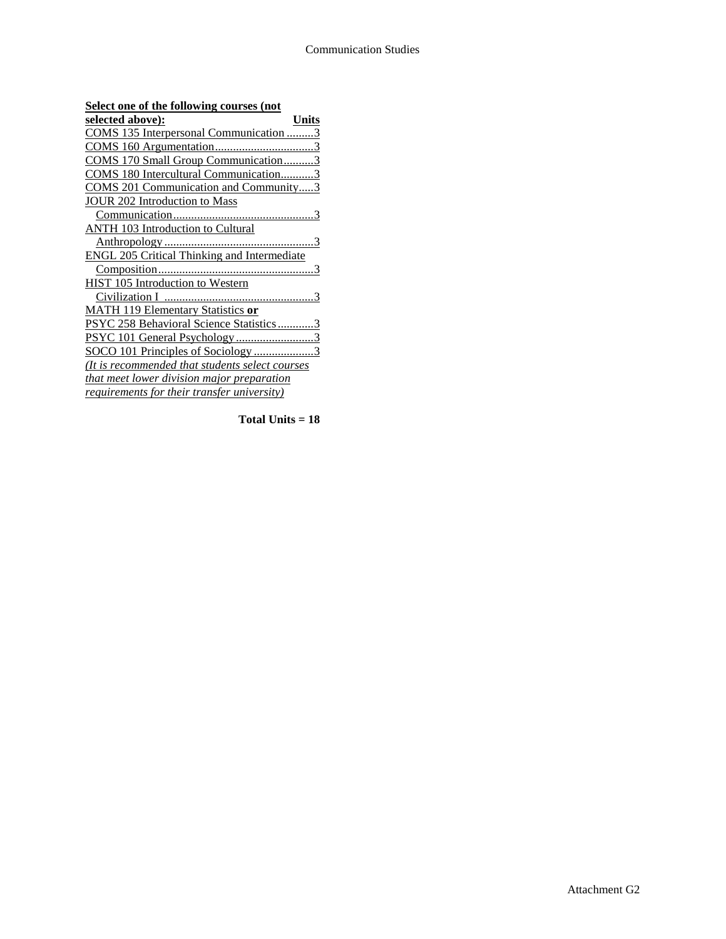| Select one of the following courses (not           |  |
|----------------------------------------------------|--|
| selected above):<br>Units                          |  |
| COMS 135 Interpersonal Communication 3             |  |
|                                                    |  |
| COMS 170 Small Group Communication3                |  |
| COMS 180 Intercultural Communication3              |  |
| COMS 201 Communication and Community3              |  |
| JOUR 202 Introduction to Mass                      |  |
|                                                    |  |
| <b>ANTH 103 Introduction to Cultural</b>           |  |
|                                                    |  |
| <b>ENGL 205 Critical Thinking and Intermediate</b> |  |
|                                                    |  |
| HIST 105 Introduction to Western                   |  |
|                                                    |  |
| <b>MATH 119 Elementary Statistics or</b>           |  |
| PSYC 258 Behavioral Science Statistics3            |  |
| PSYC 101 General Psychology 3                      |  |
| SOCO 101 Principles of Sociology 3                 |  |
| (It is recommended that students select courses    |  |
| that meet lower division major preparation         |  |
| requirements for their transfer university)        |  |
|                                                    |  |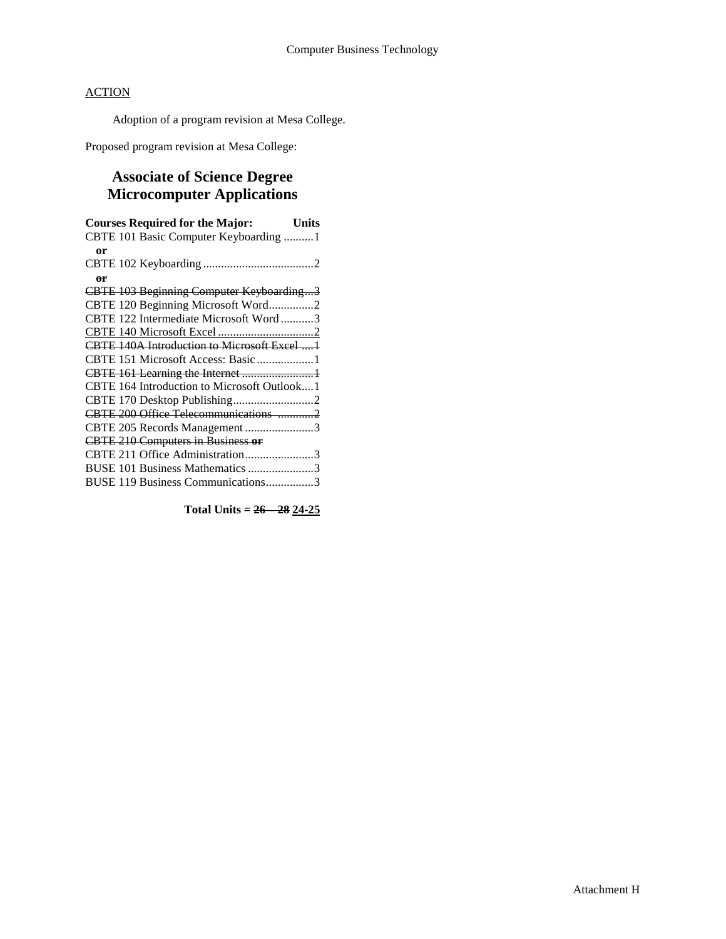Adoption of a program revision at Mesa College.

Proposed program revision at Mesa College:

# **Associate of Science Degree Microcomputer Applications**

| <b>Courses Required for the Major:</b><br><b>Units</b> |  |
|--------------------------------------------------------|--|
| CBTE 101 Basic Computer Keyboarding 1                  |  |
| or                                                     |  |
|                                                        |  |
| or                                                     |  |
| CBTE 103 Beginning Computer Keyboarding3               |  |
| CBTE 120 Beginning Microsoft Word2                     |  |
| CBTE 122 Intermediate Microsoft Word3                  |  |
|                                                        |  |
| <b>CBTE 140A Introduction to Microsoft Excel 1</b>     |  |
|                                                        |  |
|                                                        |  |
| CBTE 164 Introduction to Microsoft Outlook1            |  |
| CBTE 170 Desktop Publishing2                           |  |
| CBTE 200 Office Telecommunications 2                   |  |
| CBTE 205 Records Management3                           |  |
| <b>CBTE 210 Computers in Business or</b>               |  |
| CBTE 211 Office Administration3                        |  |
| BUSE 101 Business Mathematics 3                        |  |
| BUSE 119 Business Communications3                      |  |
|                                                        |  |

**Total Units = 26 – 28 24-25**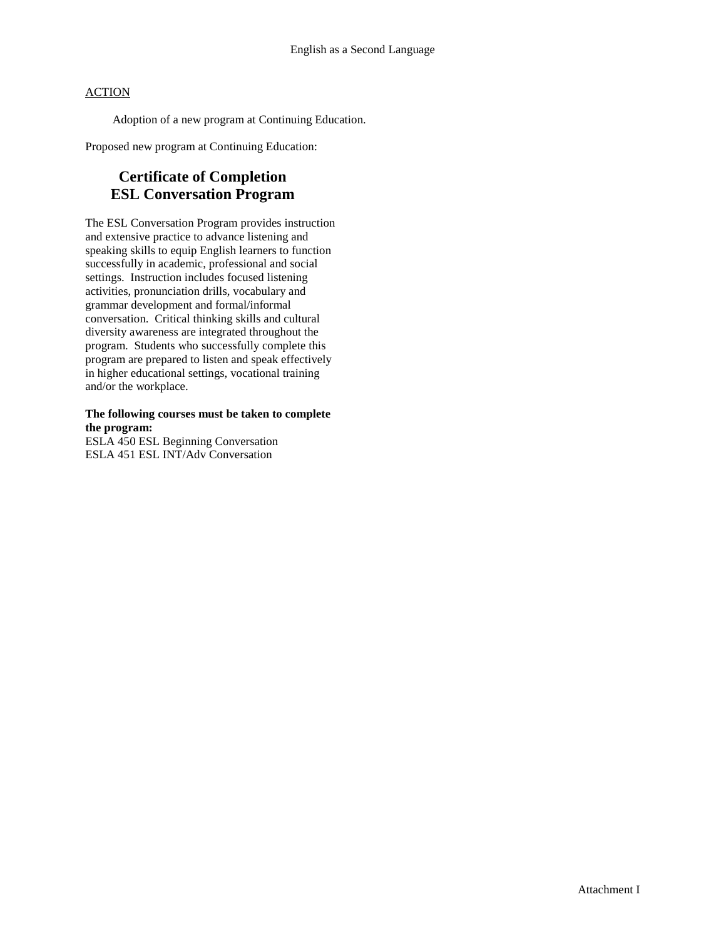Adoption of a new program at Continuing Education.

Proposed new program at Continuing Education:

# **Certificate of Completion ESL Conversation Program**

The ESL Conversation Program provides instruction and extensive practice to advance listening and speaking skills to equip English learners to function successfully in academic, professional and social settings. Instruction includes focused listening activities, pronunciation drills, vocabulary and grammar development and formal/informal conversation. Critical thinking skills and cultural diversity awareness are integrated throughout the program. Students who successfully complete this program are prepared to listen and speak effectively in higher educational settings, vocational training and/or the workplace.

### **The following courses must be taken to complete the program:**

ESLA 450 ESL Beginning Conversation ESLA 451 ESL INT/Adv Conversation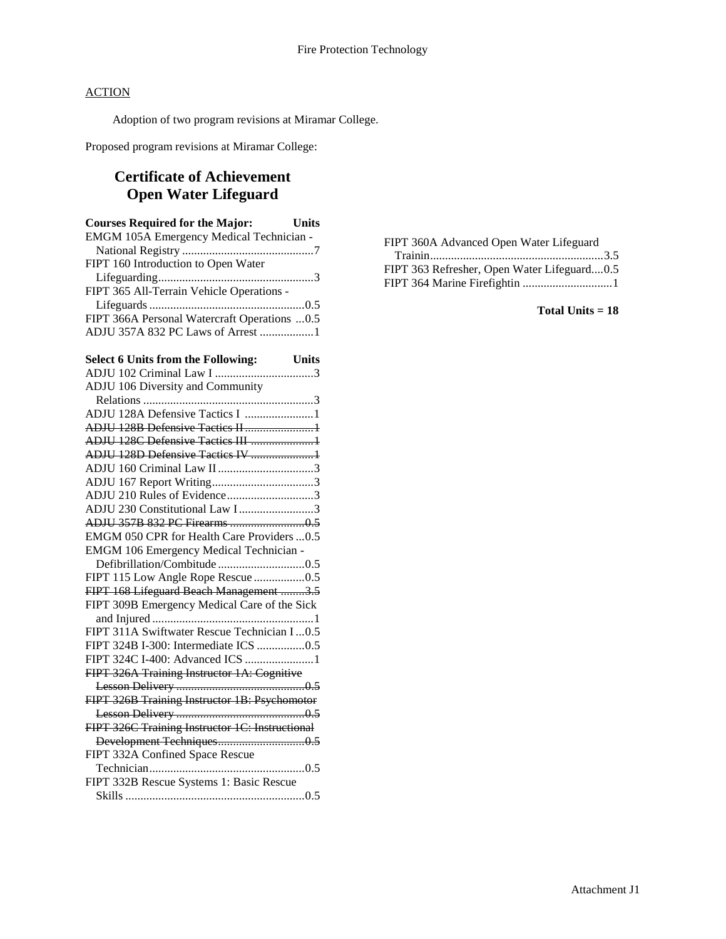Adoption of two program revisions at Miramar College.

Proposed program revisions at Miramar College:

# **Certificate of Achievement Open Water Lifeguard**

| <b>Courses Required for the Major:</b><br><b>Units</b>                |
|-----------------------------------------------------------------------|
| EMGM 105A Emergency Medical Technician -                              |
|                                                                       |
| FIPT 160 Introduction to Open Water                                   |
|                                                                       |
| FIPT 365 All-Terrain Vehicle Operations -                             |
|                                                                       |
| FIPT 366A Personal Watercraft Operations  0.5                         |
| ADJU 357A 832 PC Laws of Arrest 1                                     |
|                                                                       |
| Select 6 Units from the Following: Units<br>ADJU 102 Criminal Law I 3 |
|                                                                       |
| ADJU 106 Diversity and Community                                      |
|                                                                       |
| ADJU 128A Defensive Tactics I 1                                       |
|                                                                       |
| ADJU 128C Defensive Tactics III 1                                     |
| ADJU 128D Defensive Tactics IV 1                                      |
|                                                                       |
|                                                                       |
| ADJU 210 Rules of Evidence3                                           |
| ADJU 230 Constitutional Law I3                                        |
|                                                                       |
| EMGM 050 CPR for Health Care Providers  0.5                           |
| <b>EMGM 106 Emergency Medical Technician -</b>                        |
|                                                                       |
| FIPT 115 Low Angle Rope Rescue 0.5                                    |
| FIPT 168 Lifeguard Beach Management 3.5                               |
| FIPT 309B Emergency Medical Care of the Sick                          |
|                                                                       |
| FIPT 311A Swiftwater Rescue Technician I0.5                           |
| FIPT 324B I-300: Intermediate ICS 0.5                                 |
| FIPT 324C I-400: Advanced ICS 1                                       |
| FIPT 326A Training Instructor 1A: Cognitive                           |
|                                                                       |
| FIPT 326B Training Instructor 1B: Psychomotor                         |
|                                                                       |
| FIPT 326C Training Instructor 1C: Instructional                       |
|                                                                       |
| FIPT 332A Confined Space Rescue                                       |
|                                                                       |
| FIPT 332B Rescue Systems 1: Basic Rescue                              |
|                                                                       |

FIPT 360A Advanced Open Water Lifeguard

| FIPT 363 Refresher, Open Water Lifeguard0.5 |  |
|---------------------------------------------|--|
|                                             |  |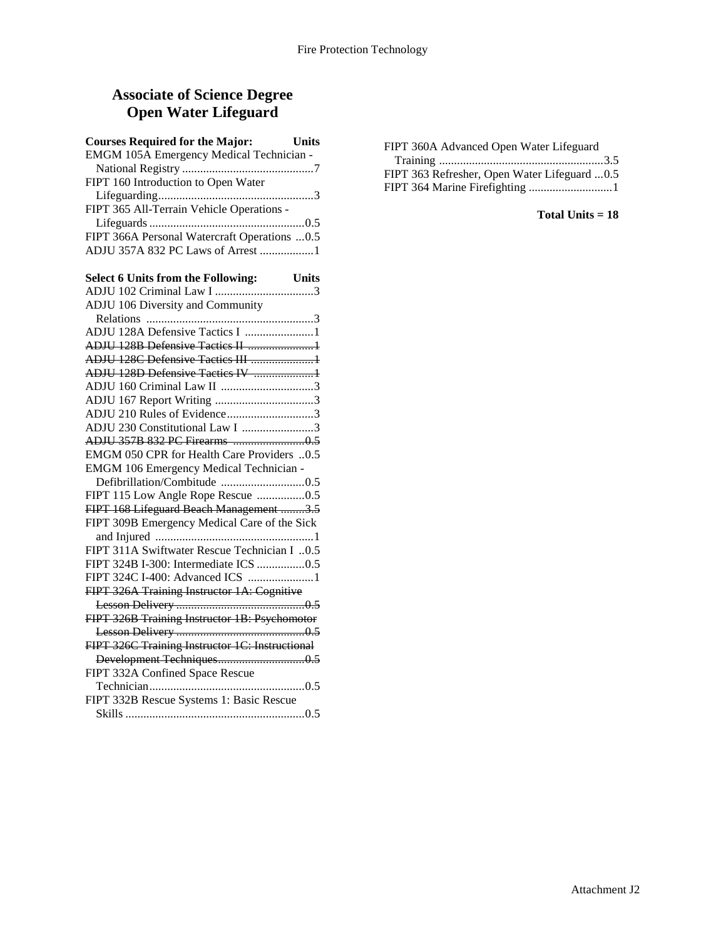## **Associate of Science Degree Open Water Lifeguard**

| <b>Courses Required for the Major:</b><br>Units |
|-------------------------------------------------|
| EMGM 105A Emergency Medical Technician -        |
|                                                 |
| FIPT 160 Introduction to Open Water             |
|                                                 |
| FIPT 365 All-Terrain Vehicle Operations -       |
|                                                 |
| FIPT 366A Personal Watercraft Operations  0.5   |
| ADJU 357A 832 PC Laws of Arrest 1               |
|                                                 |
|                                                 |
|                                                 |
| ADJU 106 Diversity and Community                |
|                                                 |
| ADJU 128A Defensive Tactics I 1                 |
| ADJU 128B Defensive Tactics II 1                |
| ADJU 128C Defensive Tactics III 1               |
| ADJU 128D Defensive Tactics IV 1                |
|                                                 |
| ADJU 167 Report Writing 3                       |
| ADJU 210 Rules of Evidence3                     |
| ADJU 230 Constitutional Law I 3                 |
|                                                 |
| EMGM 050 CPR for Health Care Providers 0.5      |
| <b>EMGM 106 Emergency Medical Technician -</b>  |
| Defibrillation/Combitude 0.5                    |
| FIPT 115 Low Angle Rope Rescue 0.5              |
| FIPT 168 Lifeguard Beach Management 3.5         |
| FIPT 309B Emergency Medical Care of the Sick    |
|                                                 |
| FIPT 311A Swiftwater Rescue Technician I 0.5    |
| FIPT 324B I-300: Intermediate ICS 0.5           |
| FIPT 324C I-400: Advanced ICS 1                 |
| FIPT 326A Training Instructor 1A: Cognitive     |
|                                                 |
| FIPT 326B Training Instructor 1B: Psychomotor   |
|                                                 |
| FIPT 326C Training Instructor 1C: Instructional |
|                                                 |
| FIPT 332A Confined Space Rescue                 |
|                                                 |
| FIPT 332B Rescue Systems 1: Basic Rescue        |
|                                                 |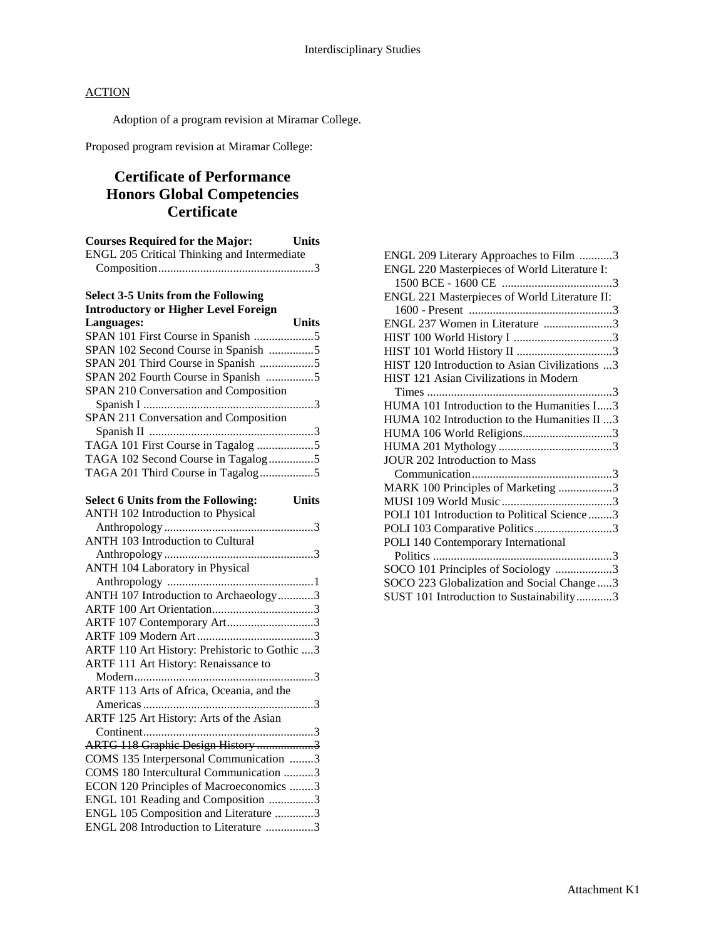Adoption of a program revision at Miramar College.

Proposed program revision at Miramar College:

# **Certificate of Performance Honors Global Competencies Certificate**

| <b>Courses Required for the Major:</b> Units                                |              |
|-----------------------------------------------------------------------------|--------------|
| ENGL 205 Critical Thinking and Intermediate                                 |              |
|                                                                             |              |
|                                                                             |              |
| <b>Select 3-5 Units from the Following</b>                                  |              |
| <b>Introductory or Higher Level Foreign</b>                                 |              |
| Languages:                                                                  | <b>Units</b> |
|                                                                             |              |
| SPAN 102 Second Course in Spanish 5                                         |              |
| SPAN 201 Third Course in Spanish 5                                          |              |
| SPAN 202 Fourth Course in Spanish 5                                         |              |
| SPAN 210 Conversation and Composition                                       |              |
|                                                                             |              |
| SPAN 211 Conversation and Composition                                       |              |
|                                                                             |              |
|                                                                             |              |
| TAGA 102 Second Course in Tagalog5                                          |              |
|                                                                             |              |
|                                                                             |              |
| <b>Select 6 Units from the Following:</b>                                   | <b>Units</b> |
| <b>ANTH 102 Introduction to Physical</b>                                    |              |
|                                                                             |              |
| <b>ANTH 103 Introduction to Cultural</b>                                    |              |
|                                                                             |              |
| <b>ANTH 104 Laboratory in Physical</b>                                      |              |
|                                                                             |              |
| ANTH 107 Introduction to Archaeology3                                       |              |
|                                                                             |              |
| ARTF 107 Contemporary Art3                                                  |              |
|                                                                             |              |
| $\triangle DTE$ 110 $\triangle$ of History Drahistoria to Cothic $\angle$ 2 |              |

| $1$ munopology                                |  |
|-----------------------------------------------|--|
| <b>ANTH 103 Introduction to Cultural</b>      |  |
|                                               |  |
| ANTH 104 Laboratory in Physical               |  |
|                                               |  |
| ANTH 107 Introduction to Archaeology3         |  |
|                                               |  |
| ARTF 107 Contemporary Art3                    |  |
|                                               |  |
| ARTF 110 Art History: Prehistoric to Gothic 3 |  |
| ARTF 111 Art History: Renaissance to          |  |
|                                               |  |
| ARTF 113 Arts of Africa, Oceania, and the     |  |
|                                               |  |
| ARTF 125 Art History: Arts of the Asian       |  |
|                                               |  |
| ARTG 118 Graphic Design History 3             |  |
| COMS 135 Interpersonal Communication 3        |  |
| COMS 180 Intercultural Communication 3        |  |
| ECON 120 Principles of Macroeconomics 3       |  |
| ENGL 101 Reading and Composition 3            |  |
| ENGL 105 Composition and Literature 3         |  |
| ENGL 208 Introduction to Literature 3         |  |

| ENGL 209 Literary Approaches to Film 3         |
|------------------------------------------------|
| ENGL 220 Masterpieces of World Literature I:   |
|                                                |
| ENGL 221 Masterpieces of World Literature II:  |
|                                                |
| ENGL 237 Women in Literature 3                 |
|                                                |
|                                                |
| HIST 120 Introduction to Asian Civilizations 3 |
| HIST 121 Asian Civilizations in Modern         |
|                                                |
| HUMA 101 Introduction to the Humanities I3     |
| HUMA 102 Introduction to the Humanities II 3   |
| HUMA 106 World Religions3                      |
|                                                |
| JOUR 202 Introduction to Mass                  |
|                                                |
| MARK 100 Principles of Marketing 3             |
|                                                |
| POLI 101 Introduction to Political Science3    |
| POLI 103 Comparative Politics3                 |
| POLI 140 Contemporary International            |
|                                                |
| SOCO 101 Principles of Sociology 3             |
| SOCO 223 Globalization and Social Change3      |
| SUST 101 Introduction to Sustainability3       |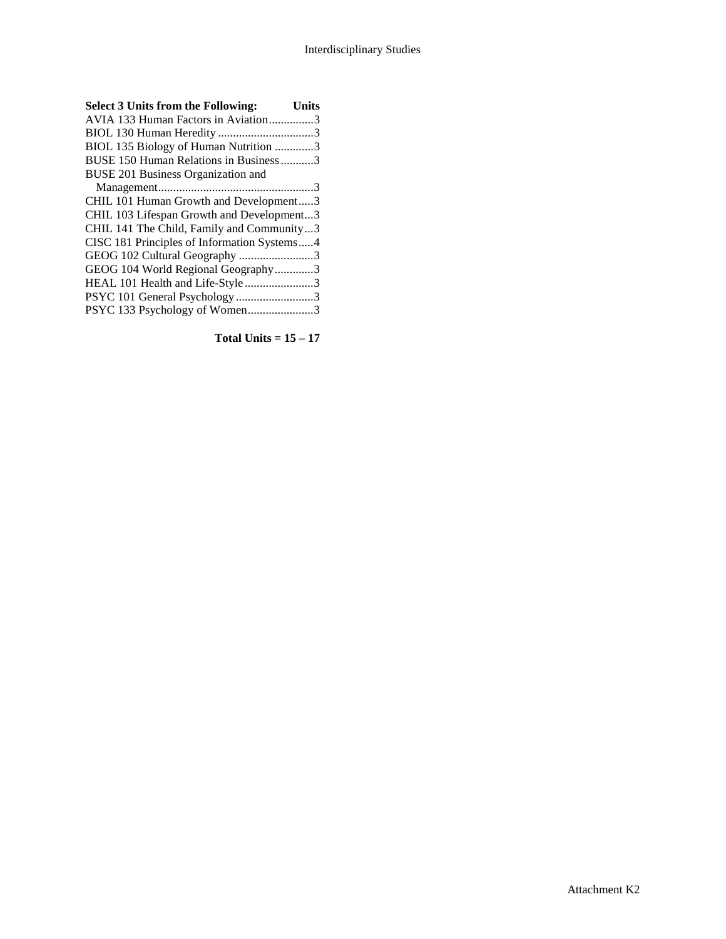| <b>Select 3 Units from the Following:</b>   | <b>Units</b> |
|---------------------------------------------|--------------|
| AVIA 133 Human Factors in Aviation3         |              |
|                                             |              |
| BIOL 135 Biology of Human Nutrition 3       |              |
| BUSE 150 Human Relations in Business3       |              |
| BUSE 201 Business Organization and          |              |
|                                             |              |
| CHIL 101 Human Growth and Development3      |              |
| CHIL 103 Lifespan Growth and Development3   |              |
| CHIL 141 The Child, Family and Community3   |              |
| CISC 181 Principles of Information Systems4 |              |
| GEOG 102 Cultural Geography 3               |              |
| GEOG 104 World Regional Geography3          |              |
| HEAL 101 Health and Life-Style 3            |              |
| PSYC 101 General Psychology 3               |              |
| PSYC 133 Psychology of Women3               |              |

**Total Units = 15 – 17**